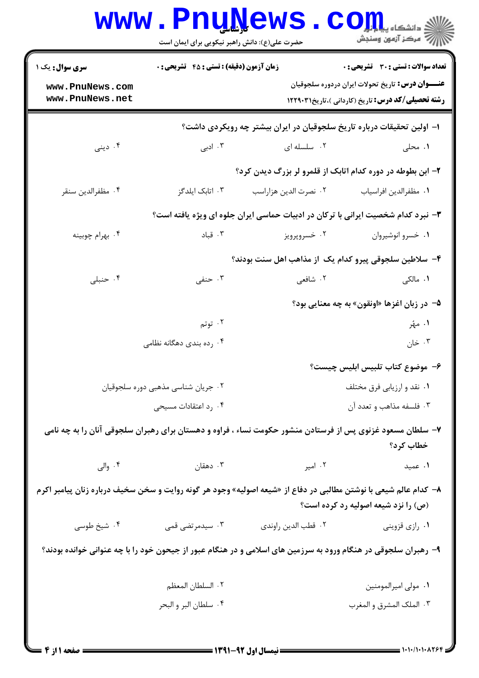|                                                                                                                                                          | <b>www.Pnu̯News.</b>                             |                                                                                                            | $\mathbf{CO}_{\mathbf{H}_{\mathbf{u}}}$ و دانشکاه یا<br>رأأأ مركز آزمون وسنجش                                        |  |  |
|----------------------------------------------------------------------------------------------------------------------------------------------------------|--------------------------------------------------|------------------------------------------------------------------------------------------------------------|----------------------------------------------------------------------------------------------------------------------|--|--|
|                                                                                                                                                          | حضرت علی(ع): دانش راهبر نیکویی برای ایمان است    |                                                                                                            |                                                                                                                      |  |  |
| <b>سری سوال :</b> یک ۱                                                                                                                                   | <b>زمان آزمون (دقیقه) : تستی : 45 تشریحی : 0</b> |                                                                                                            | <b>تعداد سوالات : تستی : 30 ٪ تشریحی : 0</b>                                                                         |  |  |
| www.PnuNews.com<br>www.PnuNews.net                                                                                                                       |                                                  |                                                                                                            | <b>عنـــوان درس:</b> تاریخ تحولات ایران دردوره سلجوقیان<br><b>رشته تحصیلی/کد درس:</b> تاریخ (کاردانی )،تاریخ۲۲۹۰۳۱ ۱ |  |  |
|                                                                                                                                                          |                                                  | ا– اولین تحقیقات درباره تاریخ سلجوقیان در ایران بیشتر چه رویکردی داشت؟                                     |                                                                                                                      |  |  |
| ۰۴ دینی                                                                                                                                                  | ۰۳ ادبی                                          | ۰۲ سلسله ای                                                                                                | ۰۱ محلی                                                                                                              |  |  |
|                                                                                                                                                          |                                                  | ۲– ابن بطوطه در دوره کدام اتابک از قلمرو لر بزرگ دیدن کرد؟                                                 |                                                                                                                      |  |  |
| ۰۴ مظفرالدين سنقر                                                                                                                                        | ۰۳ اتابک ایلدگز                                  | ۰۲ نصرت الدين هزاراسب                                                                                      | ٠١ مظفرالدين افراسياب                                                                                                |  |  |
|                                                                                                                                                          |                                                  | ۳- نبرد کدام شخصیت ایرانی با ترکان در ادبیات حماسی ایران جلوه ای ویژه یافته است؟                           |                                                                                                                      |  |  |
| ۰۴ بهرام چوبينه                                                                                                                                          | ۰۳ قباد                                          | ۰۲ خسروپرويز                                                                                               | ۰۱ خسرو انوشيروان                                                                                                    |  |  |
| ۴– سلاطین سلجوقی پیرو کدام یک از مذاهب اهل سنت بودند؟                                                                                                    |                                                  |                                                                                                            |                                                                                                                      |  |  |
| ۰۴ حنبلی                                                                                                                                                 | ۰۳ حنفی                                          | ۲. شافعی                                                                                                   | ۰۱ مالکی                                                                                                             |  |  |
|                                                                                                                                                          |                                                  |                                                                                                            | ۵– در زبان اغزها «اونقون» به چه معنایی بود؟                                                                          |  |  |
|                                                                                                                                                          | ۰۲ توتم                                          |                                                                                                            | ۱. مهر                                                                                                               |  |  |
|                                                                                                                                                          | ۰۴ رده بندی دهگانه نظامی                         |                                                                                                            | ۰۳ خان                                                                                                               |  |  |
|                                                                                                                                                          |                                                  |                                                                                                            | ۶– موضوع کتاب تلبیس ابلیس چیست؟                                                                                      |  |  |
| ۰۲ جریان شناسی مذهبی دوره سلجوقیان                                                                                                                       |                                                  | ۰۱ نقد و ارزیابی فرق مختلف                                                                                 |                                                                                                                      |  |  |
|                                                                                                                                                          | ۰۴ رد اعتقادات مسیحی                             |                                                                                                            | ۰۳ فلسفه مذاهب و تعدد آن                                                                                             |  |  |
|                                                                                                                                                          |                                                  | ۷– سلطان مسعود غزنوی پس از فرستادن منشور حکومت نساء ، فراوه و دهستان برای رهبران سلجوقی آنان را به چه نامی | خطاب كرد؟                                                                                                            |  |  |
| ۰۴ والی                                                                                                                                                  | ۰۳ دهقان                                         | ۰۲ امیر                                                                                                    | ۰۱ عمید                                                                                                              |  |  |
| ۸–  کدام عالم شیعی با نوشتن مطالبی در دفاع از «شیعه اصولیه» وجود هر گونه روایت و سخن سخیف درباره زنان پیامبر اکرم<br>(ص) را نزد شیعه اصولیه رد کرده است؟ |                                                  |                                                                                                            |                                                                                                                      |  |  |
| ۰۴ شیخ طوسی                                                                                                                                              | ۰۳ سیدمرتضی قمی                                  | ٠٢ قطب الدين راوندي                                                                                        | ۰۱ رازي قزويني                                                                                                       |  |  |
| ۹- رهبران سلجوقی در هنگام ورود به سرزمین های اسلامی و در هنگام عبور از جیحون خود را با چه عنوانی خوانده بودند؟                                           |                                                  |                                                                                                            |                                                                                                                      |  |  |
|                                                                                                                                                          | ٢. السلطان المعظم                                |                                                                                                            | ٠١ مولى اميرالمومنين                                                                                                 |  |  |
|                                                                                                                                                          | ۰۴ سلطان البر و البحر                            |                                                                                                            | ٠٣ الملك المشرق و المغرب                                                                                             |  |  |
|                                                                                                                                                          |                                                  |                                                                                                            |                                                                                                                      |  |  |
| = صفحه 1 از 4 =                                                                                                                                          |                                                  |                                                                                                            |                                                                                                                      |  |  |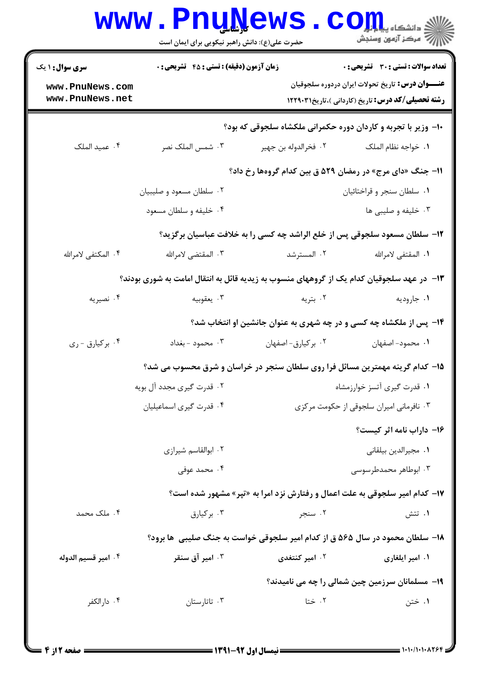|                                    | حضرت علی(ع): دانش راهبر نیکویی برای ایمان است                                             |                                                                               |                                                                                                                                   |  |
|------------------------------------|-------------------------------------------------------------------------------------------|-------------------------------------------------------------------------------|-----------------------------------------------------------------------------------------------------------------------------------|--|
| <b>سری سوال : ۱ یک</b>             | <b>زمان آزمون (دقیقه) : تستی : 45 تشریحی : 0</b>                                          |                                                                               | تعداد سوالات : تستى : 30 - تشريحي : 0                                                                                             |  |
| www.PnuNews.com<br>www.PnuNews.net |                                                                                           |                                                                               | <b>عنـــوان درس:</b> تاریخ تحولات ایران دردوره سلجوقیان<br><b>رشته تحصیلی/کد درس:</b> تاریخ (کاردانی )،تاریخ۲۲۹۰۳۱ <b>۱۲۲۹</b> ۰۳ |  |
|                                    |                                                                                           | ۱۰- وزیر با تجربه و کاردان دوره حکمرانی ملکشاه سلجوقی که بود؟                 |                                                                                                                                   |  |
| ۰۴ عميد الملک                      | ۰۳ شمس الملک نصر                                                                          | ٢. فخرالدوله بن جهير                                                          | ٠١. خواجه نظام الملک                                                                                                              |  |
|                                    |                                                                                           |                                                                               |                                                                                                                                   |  |
|                                    |                                                                                           | 11- جنگ «دای مرج» در رمضان ۵۲۹ ق بین کدام گروهها رخ داد؟                      |                                                                                                                                   |  |
|                                    | ۰۲ سلطان مسعود و صليبيان                                                                  |                                                                               | ۰۱ سلطان سنجر و قراختائیان                                                                                                        |  |
|                                    | ۰۴ خلیفه و سلطان مسعود                                                                    |                                                                               | ۰۳ خلیفه و صلیبی ها                                                                                                               |  |
|                                    | ۱۲- سلطان مسعود سلجوقی پس از خلع الراشد چه کسی را به خلافت عباسیان برگزید؟                |                                                                               |                                                                                                                                   |  |
| ۴. المكتفى لامرالله                | ۴. المقتضى لامرالله                                                                       | ۰۲ المسترشد                                                                   | <b>۱.</b> المقتفى لامرالله                                                                                                        |  |
|                                    | ۱۳- در عهد سلجوقیان کدام یک از گروههای منسوب به زیدیه قائل به انتقال امامت به شوری بودند؟ |                                                                               |                                                                                                                                   |  |
| ۰۴ نصيريه                          | ۰۳ يعقوبيه                                                                                | ۰۲ بتریه                                                                      | ۰۱ جاروديه                                                                                                                        |  |
|                                    |                                                                                           | ۱۴- پس از ملکشاه چه کسی و در چه شهری به عنوان جانشین او انتخاب شد؟            |                                                                                                                                   |  |
| ۰۴ برکیارق - ری                    | ۰۳ محمود - بغداد                                                                          | ٠٢ بركيارق- اصفهان                                                            | ٠١. محمود- اصفهان                                                                                                                 |  |
|                                    | ۱۵– کدام گرینه مهمترین مسائل فرا روی سلطان سنجر در خراسان و شرق محسوب می شد؟              |                                                                               |                                                                                                                                   |  |
|                                    | ۲. قدرت گیری مجدد آل بویه                                                                 | ۰۱ قدرت گیری آتسز خوارزمشاه                                                   |                                                                                                                                   |  |
|                                    | ۰۴ قدرت گیری اسماعیلیان                                                                   | ۰۳ نافرمانی امیران سلجوقی از حکومت مرکزی                                      |                                                                                                                                   |  |
|                                    |                                                                                           |                                                                               | ۱۶- داراب نامه اثر کیست؟                                                                                                          |  |
|                                    | ۰۲ ابوالقاسم شیرازی                                                                       |                                                                               | ٠١ مجيرالدين بيلقاني                                                                                                              |  |
|                                    | ۰۴ محمد عوفی                                                                              |                                                                               | ۰۳ ابوطاهر محمدطرسوسی                                                                                                             |  |
|                                    |                                                                                           | ۱۷- کدام امیر سلجوقی به علت اعمال و رفتارش نزد امرا به «تپر» مشهور شده است؟   |                                                                                                                                   |  |
| ۰۴ ملک محمد                        | ۰۳ برکیارق                                                                                | ۰۲ سنجر                                                                       | ۰۱ تتش                                                                                                                            |  |
|                                    |                                                                                           | ۱۸- سلطان محمود در سال ۵۶۵ ق از کدام امیر سلجوقی خواست به جنگ صلیبی ًها برود؟ |                                                                                                                                   |  |
| ۰۴ امير قسيم الدوله                | ۰۳ امیر آق سنقر                                                                           | ۰۲ امیر کنتغدی                                                                | ۰۱ امیر ایلغاری                                                                                                                   |  |
|                                    |                                                                                           |                                                                               | <b>۱۹</b> - مسلمانان سرزمین چین شمالی را چه می نامیدند؟                                                                           |  |
| ۰۴ دارالکفر                        | ۰۳ تاتارستان                                                                              | ۰۲ ختا                                                                        | ۰۱ ختن                                                                                                                            |  |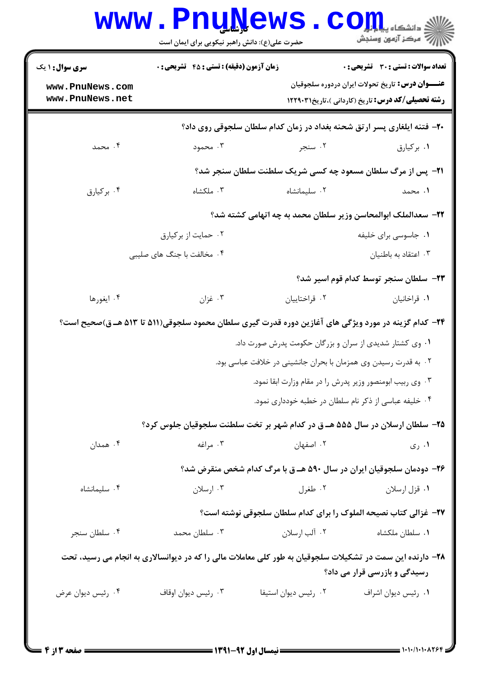| <b>سری سوال : ۱ یک</b>             | <b>زمان آزمون (دقیقه) : تستی : 45 گشریحی : 0</b>                                                          |                      | <b>تعداد سوالات : تستی : 30 ٪ تشریحی : 0</b>                                                                         |
|------------------------------------|-----------------------------------------------------------------------------------------------------------|----------------------|----------------------------------------------------------------------------------------------------------------------|
| www.PnuNews.com<br>www.PnuNews.net |                                                                                                           |                      | <b>عنـــوان درس:</b> تاریخ تحولات ایران دردوره سلجوقیان<br><b>رشته تحصیلی/کد درس:</b> تاریخ (کاردانی )،تاریخ۲۲۹۰۳۱ ۱ |
|                                    | ۲۰- فتنه ایلغاری پسر ارتق شحنه بغداد در زمان کدام سلطان سلجوقی روی داد؟                                   |                      |                                                                                                                      |
| ۰۴ محمد                            | ۰۳ محمود                                                                                                  | ۰۲ سنجر              | ٠١. بركيارق                                                                                                          |
|                                    |                                                                                                           |                      | <b>۲۱</b> - پس از مرگ سلطان مسعود چه کسی شریک سلطنت سلطان سنجر شد؟                                                   |
| ۰۴ برکیارق                         | ۰۳ ملکشاه                                                                                                 | ۰۲ سلیمانشاه         | ۱. محمد                                                                                                              |
|                                    |                                                                                                           |                      | ٢٢– سعدالملک ابوالمحاسن وزير سلطان محمد به چه اتهامي کشته شد؟                                                        |
|                                    | ۰۲ حمایت از برکیارق                                                                                       |                      | ۰۱ جاسوسی برای خلیفه                                                                                                 |
|                                    | ۰۴ مخالفت با جنگ های صلیبی                                                                                |                      | ۰۳ اعتقاد به باطنيان                                                                                                 |
|                                    |                                                                                                           |                      | ٢٣- سلطان سنجر توسط كدام قوم اسير شد؟                                                                                |
| ۰۴ ایغورها                         | ۰۳ غزان                                                                                                   | ٠٢ قراختاييان        | ٠١ قراخانيان                                                                                                         |
|                                    | ۲۴– کدام گزینه در مورد ویژگی های آغازین دوره قدرت گیری سلطان محمود سلجوقی(۵۱۱ تا ۵۱۳ هـ ق)صحیح است؟       |                      |                                                                                                                      |
|                                    |                                                                                                           |                      | ۰۱ وی کشتار شدیدی از سران و بزرگان حکومت پدرش صورت داد.                                                              |
|                                    |                                                                                                           |                      | ۰۲ به قدرت رسیدن وی همزمان با بحران جانشینی در خلافت عباسی بود.                                                      |
|                                    |                                                                                                           |                      | ۰۳ وی ربیب ابومنصور وزیر پدرش را در مقام وزارت ابقا نمود.                                                            |
|                                    |                                                                                                           |                      | ۰۴ خلیفه عباسی از ذکر نام سلطان در خطبه خودداری نمود.                                                                |
|                                    | ۲۵– سلطان ارسلان در سال ۵۵۵ هـ ق در کدام شهر بر تخت سلطنت سلجوقیان جلوس کرد؟                              |                      |                                                                                                                      |
| ۰۴ همدان                           | ۰۳ مراغه                                                                                                  | ۰۲ اصفهان            | ۰۱ ری                                                                                                                |
|                                    | ۲۶- دودمان سلجوقیان ایران در سال ۵۹۰ هـ ق با مرگ کدام شخص منقرض شد؟                                       |                      |                                                                                                                      |
| ۰۴ سلیمانشاه                       | ۰۳ ارسلان                                                                                                 | ۰۲ طغرل              | ۰۱ قزل ارسلان                                                                                                        |
|                                    |                                                                                                           |                      | ۲۷– غزالی کتاب نصیحه الملوک را برای کدام سلطان سلجوقی نوشته است؟                                                     |
| ۰۴ سلطان سنجر                      | ۰۳ سلطان محمد                                                                                             | ۰۲ آلب ارسلان        | ۰۱ سلطان ملکشاه                                                                                                      |
|                                    | ۲۸– دارنده این سمت در تشکیلات سلجوقیان به طور کلی معاملات مالی را که در دیوانسالاری به انجام می رسید، تحت |                      |                                                                                                                      |
|                                    |                                                                                                           |                      | رسیدگی و بازرسی قرار می داد؟                                                                                         |
| ۰۴ رئيس ديوان عرض                  | ۰۳ رئیس دیوان اوقاف                                                                                       | ۰۲ رئیس دیوان استیفا | ٠١ رئيس ديوان اشراف                                                                                                  |